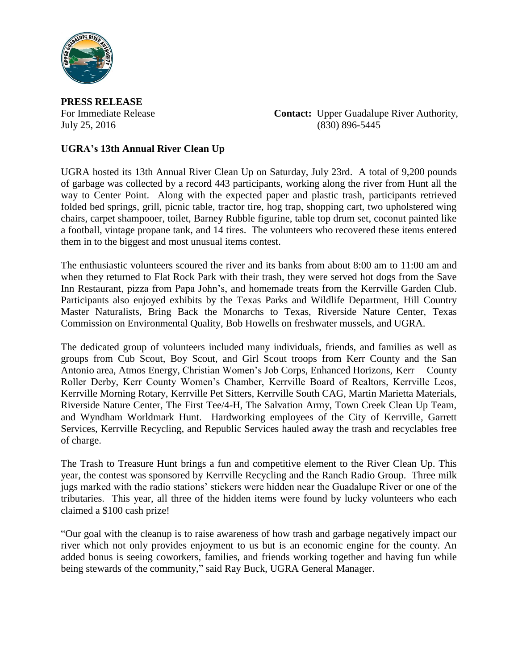

**PRESS RELEASE**

For Immediate Release **Contact:** Upper Guadalupe River Authority, July 25, 2016 (830) 896-5445

## **UGRA's 13th Annual River Clean Up**

UGRA hosted its 13th Annual River Clean Up on Saturday, July 23rd. A total of 9,200 pounds of garbage was collected by a record 443 participants, working along the river from Hunt all the way to Center Point. Along with the expected paper and plastic trash, participants retrieved folded bed springs, grill, picnic table, tractor tire, hog trap, shopping cart, two upholstered wing chairs, carpet shampooer, toilet, Barney Rubble figurine, table top drum set, coconut painted like a football, vintage propane tank, and 14 tires. The volunteers who recovered these items entered them in to the biggest and most unusual items contest.

The enthusiastic volunteers scoured the river and its banks from about 8:00 am to 11:00 am and when they returned to Flat Rock Park with their trash, they were served hot dogs from the Save Inn Restaurant, pizza from Papa John's, and homemade treats from the Kerrville Garden Club. Participants also enjoyed exhibits by the Texas Parks and Wildlife Department, Hill Country Master Naturalists, Bring Back the Monarchs to Texas, Riverside Nature Center, Texas Commission on Environmental Quality, Bob Howells on freshwater mussels, and UGRA.

The dedicated group of volunteers included many individuals, friends, and families as well as groups from Cub Scout, Boy Scout, and Girl Scout troops from Kerr County and the San Antonio area, Atmos Energy, Christian Women's Job Corps, Enhanced Horizons, Kerr County Roller Derby, Kerr County Women's Chamber, Kerrville Board of Realtors, Kerrville Leos, Kerrville Morning Rotary, Kerrville Pet Sitters, Kerrville South CAG, Martin Marietta Materials, Riverside Nature Center, The First Tee/4-H, The Salvation Army, Town Creek Clean Up Team, and Wyndham Worldmark Hunt. Hardworking employees of the City of Kerrville, Garrett Services, Kerrville Recycling, and Republic Services hauled away the trash and recyclables free of charge.

The Trash to Treasure Hunt brings a fun and competitive element to the River Clean Up. This year, the contest was sponsored by Kerrville Recycling and the Ranch Radio Group. Three milk jugs marked with the radio stations' stickers were hidden near the Guadalupe River or one of the tributaries. This year, all three of the hidden items were found by lucky volunteers who each claimed a \$100 cash prize!

"Our goal with the cleanup is to raise awareness of how trash and garbage negatively impact our river which not only provides enjoyment to us but is an economic engine for the county. An added bonus is seeing coworkers, families, and friends working together and having fun while being stewards of the community," said Ray Buck, UGRA General Manager.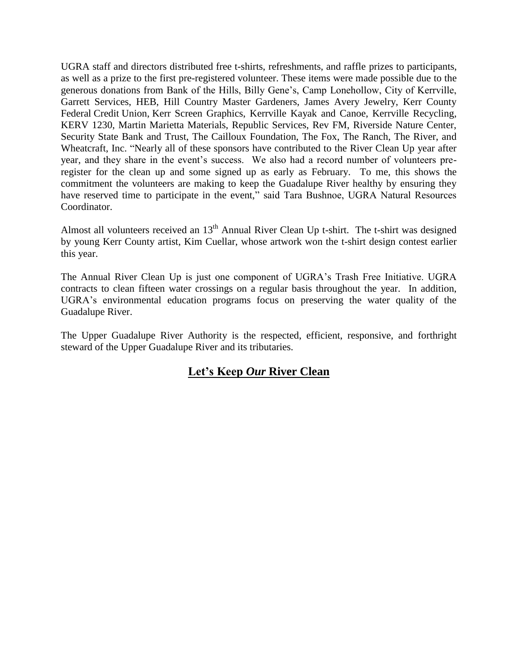UGRA staff and directors distributed free t-shirts, refreshments, and raffle prizes to participants, as well as a prize to the first pre-registered volunteer. These items were made possible due to the generous donations from Bank of the Hills, Billy Gene's, Camp Lonehollow, City of Kerrville, Garrett Services, HEB, Hill Country Master Gardeners, James Avery Jewelry, Kerr County Federal Credit Union, Kerr Screen Graphics, Kerrville Kayak and Canoe, Kerrville Recycling, KERV 1230, Martin Marietta Materials, Republic Services, Rev FM, Riverside Nature Center, Security State Bank and Trust, The Cailloux Foundation, The Fox, The Ranch, The River, and Wheatcraft, Inc. "Nearly all of these sponsors have contributed to the River Clean Up year after year, and they share in the event's success. We also had a record number of volunteers preregister for the clean up and some signed up as early as February. To me, this shows the commitment the volunteers are making to keep the Guadalupe River healthy by ensuring they have reserved time to participate in the event," said Tara Bushnoe, UGRA Natural Resources Coordinator.

Almost all volunteers received an  $13<sup>th</sup>$  Annual River Clean Up t-shirt. The t-shirt was designed by young Kerr County artist, Kim Cuellar, whose artwork won the t-shirt design contest earlier this year.

The Annual River Clean Up is just one component of UGRA's Trash Free Initiative. UGRA contracts to clean fifteen water crossings on a regular basis throughout the year. In addition, UGRA's environmental education programs focus on preserving the water quality of the Guadalupe River.

The Upper Guadalupe River Authority is the respected, efficient, responsive, and forthright steward of the Upper Guadalupe River and its tributaries.

## **Let's Keep** *Our* **River Clean**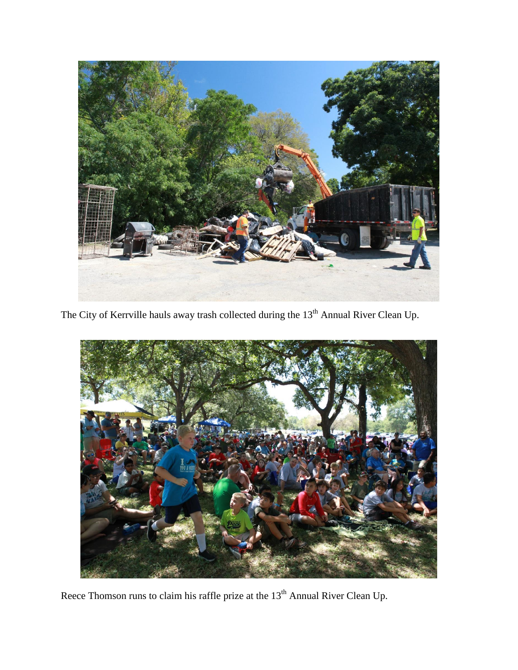

The City of Kerrville hauls away trash collected during the 13<sup>th</sup> Annual River Clean Up.



Reece Thomson runs to claim his raffle prize at the  $13<sup>th</sup>$  Annual River Clean Up.